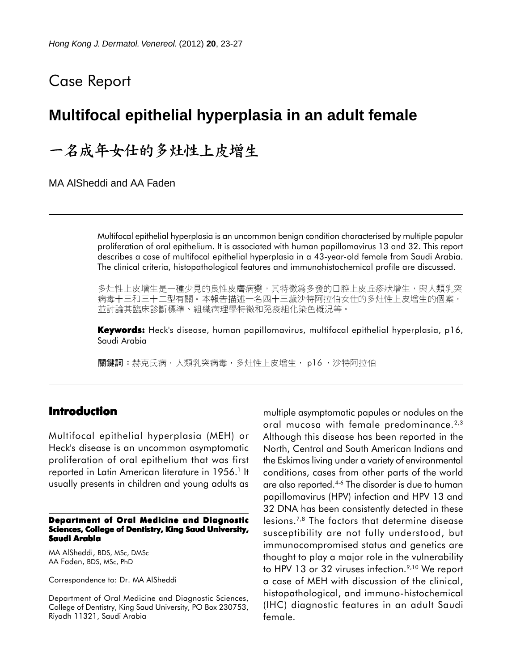# Case Report

# **Multifocal epithelial hyperplasia in an adult female**

# 一名成年女仕的多灶性上皮增生

MA AlSheddi and AA Faden

Multifocal epithelial hyperplasia is an uncommon benign condition characterised by multiple papular proliferation of oral epithelium. It is associated with human papillomavirus 13 and 32. This report describes a case of multifocal epithelial hyperplasia in a 43-year-old female from Saudi Arabia. The clinical criteria, histopathological features and immunohistochemical profile are discussed.

多灶性上皮增生是一種少見的良性皮膚病變,其特徵爲多發的口腔上皮丘疹狀增生,與人類乳突 病毒十三和三十二型有關。本報告描述一名四十三歲沙特阿拉伯女仕的多灶性上皮增生的個案, 並討論其臨床診斷標準、組織病理學特徵和免疫組化染色概況等。

**Keywords:** Heck's disease, human papillomavirus, multifocal epithelial hyperplasia, p16, Saudi Arabia

關鍵詞:赫克氏病,人類乳突病毒,多灶性上皮增生, p16 ,沙特阿拉伯

## **Introduction**

Multifocal epithelial hyperplasia (MEH) or Heck's disease is an uncommon asymptomatic proliferation of oral epithelium that was first reported in Latin American literature in 1956.<sup>1</sup> It usually presents in children and young adults as

#### **Department of Oral Medicine and Diagnostic Sciences, College of Dentistry, King Saud University, Saudi Arabia**

MA AlSheddi, BDS, MSc, DMSc AA Faden, BDS, MSc, PhD

Correspondence to: Dr. MA AlSheddi

Department of Oral Medicine and Diagnostic Sciences, College of Dentistry, King Saud University, PO Box 230753, Riyadh 11321, Saudi Arabia

multiple asymptomatic papules or nodules on the oral mucosa with female predominance.2,3 Although this disease has been reported in the North, Central and South American Indians and the Eskimos living under a variety of environmental conditions, cases from other parts of the world are also reported.4-6 The disorder is due to human papillomavirus (HPV) infection and HPV 13 and 32 DNA has been consistently detected in these lesions.7,8 The factors that determine disease susceptibility are not fully understood, but immunocompromised status and genetics are thought to play a major role in the vulnerability to HPV 13 or 32 viruses infection.<sup>9,10</sup> We report a case of MEH with discussion of the clinical, histopathological, and immuno-histochemical (IHC) diagnostic features in an adult Saudi female.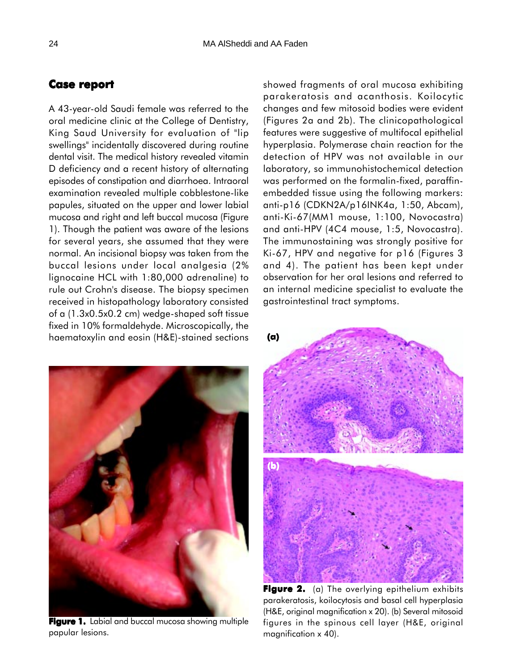## **Case report report**

A 43-year-old Saudi female was referred to the oral medicine clinic at the College of Dentistry, King Saud University for evaluation of "lip swellings" incidentally discovered during routine dental visit. The medical history revealed vitamin D deficiency and a recent history of alternating episodes of constipation and diarrhoea. Intraoral examination revealed multiple cobblestone-like papules, situated on the upper and lower labial mucosa and right and left buccal mucosa (Figure 1). Though the patient was aware of the lesions for several years, she assumed that they were normal. An incisional biopsy was taken from the buccal lesions under local analgesia (2% lignocaine HCL with 1:80,000 adrenaline) to rule out Crohn's disease. The biopsy specimen received in histopathology laboratory consisted of a (1.3x0.5x0.2 cm) wedge-shaped soft tissue fixed in 10% formaldehyde. Microscopically, the haematoxylin and eosin (H&E)-stained sections



**Figure 1.** Labial and buccal mucosa showing multiple papular lesions.

showed fragments of oral mucosa exhibiting parakeratosis and acanthosis. Koilocytic changes and few mitosoid bodies were evident (Figures 2a and 2b). The clinicopathological features were suggestive of multifocal epithelial hyperplasia. Polymerase chain reaction for the detection of HPV was not available in our laboratory, so immunohistochemical detection was performed on the formalin-fixed, paraffinembedded tissue using the following markers: anti-p16 (CDKN2A/p16INK4a, 1:50, Abcam), anti-Ki-67(MM1 mouse, 1:100, Novocastra) and anti-HPV (4C4 mouse, 1:5, Novocastra). The immunostaining was strongly positive for Ki-67, HPV and negative for p16 (Figures 3 and 4). The patient has been kept under observation for her oral lesions and referred to an internal medicine specialist to evaluate the gastrointestinal tract symptoms.



**Figure 2.** (a) The overlying epithelium exhibits parakeratosis, koilocytosis and basal cell hyperplasia (H&E, original magnification x 20). (b) Several mitosoid figures in the spinous cell layer (H&E, original magnification x 40).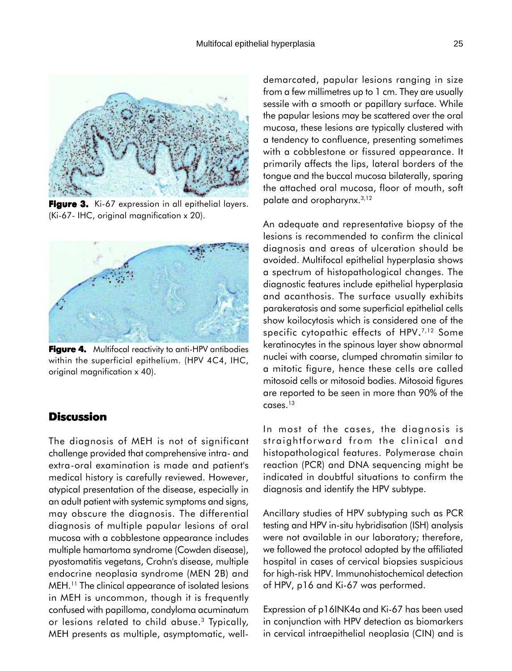

**Figure 3.** Ki-67 expression in all epithelial layers. (Ki-67- IHC, original magnification x 20).



**Figure 4.** Multifocal reactivity to anti-HPV antibodies within the superficial epithelium. (HPV 4C4, IHC, original magnification x 40).

## **Discussion**

The diagnosis of MEH is not of significant challenge provided that comprehensive intra- and extra-oral examination is made and patient's medical history is carefully reviewed. However, atypical presentation of the disease, especially in an adult patient with systemic symptoms and signs, may obscure the diagnosis. The differential diagnosis of multiple papular lesions of oral mucosa with a cobblestone appearance includes multiple hamartoma syndrome (Cowden disease), pyostomatitis vegetans, Crohn's disease, multiple endocrine neoplasia syndrome (MEN 2B) and MEH.11 The clinical appearance of isolated lesions in MEH is uncommon, though it is frequently confused with papilloma, condyloma acuminatum or lesions related to child abuse.<sup>3</sup> Typically, MEH presents as multiple, asymptomatic, welldemarcated, papular lesions ranging in size from a few millimetres up to 1 cm. They are usually sessile with a smooth or papillary surface. While the papular lesions may be scattered over the oral mucosa, these lesions are typically clustered with a tendency to confluence, presenting sometimes with a cobblestone or fissured appearance. It primarily affects the lips, lateral borders of the tongue and the buccal mucosa bilaterally, sparing the attached oral mucosa, floor of mouth, soft palate and oropharynx.3,12

An adequate and representative biopsy of the lesions is recommended to confirm the clinical diagnosis and areas of ulceration should be avoided. Multifocal epithelial hyperplasia shows a spectrum of histopathological changes. The diagnostic features include epithelial hyperplasia and acanthosis. The surface usually exhibits parakeratosis and some superficial epithelial cells show koilocytosis which is considered one of the specific cytopathic effects of HPV.<sup>7,12</sup> Some keratinocytes in the spinous layer show abnormal nuclei with coarse, clumped chromatin similar to a mitotic figure, hence these cells are called mitosoid cells or mitosoid bodies. Mitosoid figures are reported to be seen in more than 90% of the cases.13

In most of the cases, the diagnosis is straightforward from the clinical and histopathological features. Polymerase chain reaction (PCR) and DNA sequencing might be indicated in doubtful situations to confirm the diagnosis and identify the HPV subtype.

Ancillary studies of HPV subtyping such as PCR testing and HPV in-situ hybridisation (ISH) analysis were not available in our laboratory; therefore, we followed the protocol adopted by the affiliated hospital in cases of cervical biopsies suspicious for high-risk HPV. Immunohistochemical detection of HPV, p16 and Ki-67 was performed.

Expression of p16INK4a and Ki-67 has been used in conjunction with HPV detection as biomarkers in cervical intraepithelial neoplasia (CIN) and is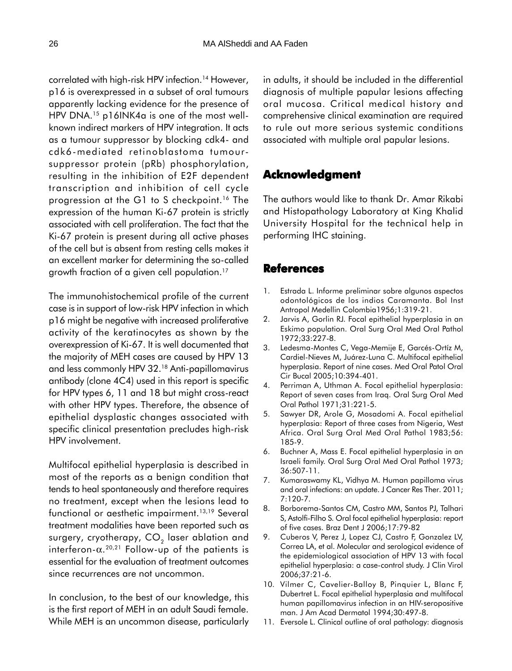correlated with high-risk HPV infection.<sup>14</sup> However, p16 is overexpressed in a subset of oral tumours apparently lacking evidence for the presence of HPV DNA.<sup>15</sup> p16INK4a is one of the most wellknown indirect markers of HPV integration. It acts as a tumour suppressor by blocking cdk4- and cdk6-mediated retinoblastoma tumoursuppressor protein (pRb) phosphorylation, resulting in the inhibition of E2F dependent transcription and inhibition of cell cycle progression at the G1 to S checkpoint.<sup>16</sup> The expression of the human Ki-67 protein is strictly associated with cell proliferation. The fact that the Ki-67 protein is present during all active phases of the cell but is absent from resting cells makes it an excellent marker for determining the so-called growth fraction of a given cell population.17

The immunohistochemical profile of the current case is in support of low-risk HPV infection in which p16 might be negative with increased proliferative activity of the keratinocytes as shown by the overexpression of Ki-67. It is well documented that the majority of MEH cases are caused by HPV 13 and less commonly HPV 32.18 Anti-papillomavirus antibody (clone 4C4) used in this report is specific for HPV types 6, 11 and 18 but might cross-react with other HPV types. Therefore, the absence of epithelial dysplastic changes associated with specific clinical presentation precludes high-risk HPV involvement.

Multifocal epithelial hyperplasia is described in most of the reports as a benign condition that tends to heal spontaneously and therefore requires no treatment, except when the lesions lead to functional or aesthetic impairment.<sup>13,19</sup> Several treatment modalities have been reported such as surgery, cryotherapy,  $CO<sub>2</sub>$  laser ablation and interferon- $\alpha$ <sup>20,21</sup> Follow-up of the patients is essential for the evaluation of treatment outcomes since recurrences are not uncommon.

In conclusion, to the best of our knowledge, this is the first report of MEH in an adult Saudi female. While MEH is an uncommon disease, particularly in adults, it should be included in the differential diagnosis of multiple papular lesions affecting oral mucosa. Critical medical history and comprehensive clinical examination are required to rule out more serious systemic conditions associated with multiple oral papular lesions.

## **Acknowledgment Acknowledgment**

The authors would like to thank Dr. Amar Rikabi and Histopathology Laboratory at King Khalid University Hospital for the technical help in performing IHC staining.

### **References**

- 1. Estrada L. Informe preliminar sobre algunos aspectos odontológicos de los indios Caramanta. Bol Inst Antropol Medellin Colombia1956;1:319-21.
- 2. Jarvis A, Gorlin RJ. Focal epithelial hyperplasia in an Eskimo population. Oral Surg Oral Med Oral Pathol 1972;33:227-8.
- 3. Ledesma-Montes C, Vega-Memije E, Garcés-Ortíz M, Cardiel-Nieves M, Juárez-Luna C. Multifocal epithelial hyperplasia. Report of nine cases. Med Oral Patol Oral Cir Bucal 2005;10:394-401.
- 4. Perriman A, Uthman A. Focal epithelial hyperplasia: Report of seven cases from Iraq. Oral Surg Oral Med Oral Pathol 1971;31:221-5.
- 5. Sawyer DR, Arole G, Mosadomi A. Focal epithelial hyperplasia: Report of three cases from Nigeria, West Africa. Oral Surg Oral Med Oral Pathol 1983;56: 185-9.
- 6. Buchner A, Mass E. Focal epithelial hyperplasia in an Israeli family. Oral Surg Oral Med Oral Pathol 1973; 36:507-11.
- 7. Kumaraswamy KL, Vidhya M. Human papilloma virus and oral infections: an update. J Cancer Res Ther. 2011; 7:120-7.
- 8. Borborema-Santos CM, Castro MM, Santos PJ, Talhari S, Astolfi-Filho S. Oral focal epithelial hyperplasia: report of five cases. Braz Dent J 2006;17:79-82
- 9. Cuberos V, Perez J, Lopez CJ, Castro F, Gonzalez LV, Correa LA, et al. Molecular and serological evidence of the epidemiological association of HPV 13 with focal epithelial hyperplasia: a case-control study. J Clin Virol 2006;37:21-6.
- 10. Vilmer C, Cavelier-Balloy B, Pinquier L, Blanc F, Dubertret L. Focal epithelial hyperplasia and multifocal human papillomavirus infection in an HIV-seropositive man. J Am Acad Dermatol 1994;30:497-8.
- 11. Eversole L. Clinical outline of oral pathology: diagnosis